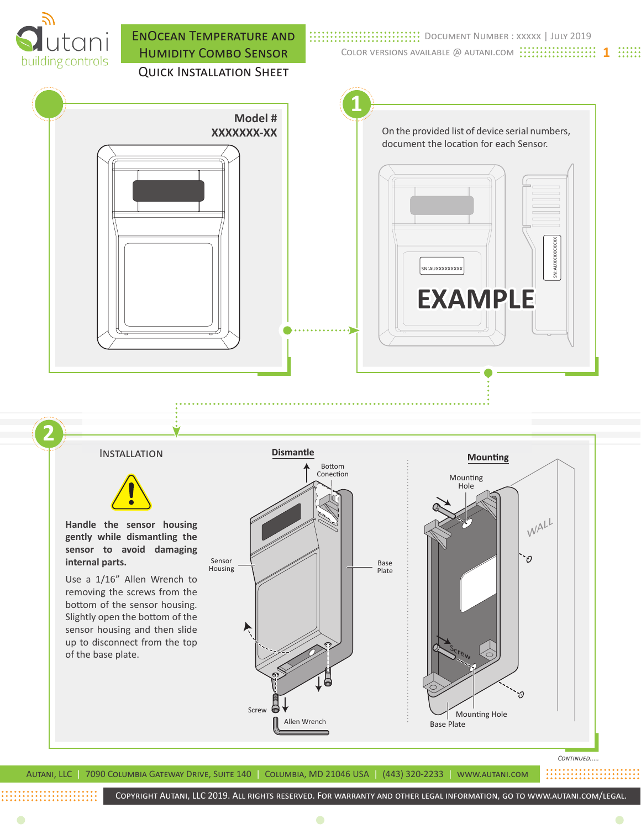

Copyright Autani, LLC 2019. All rights reserved. For warranty and other legal information, go to www.autani.com/legal.